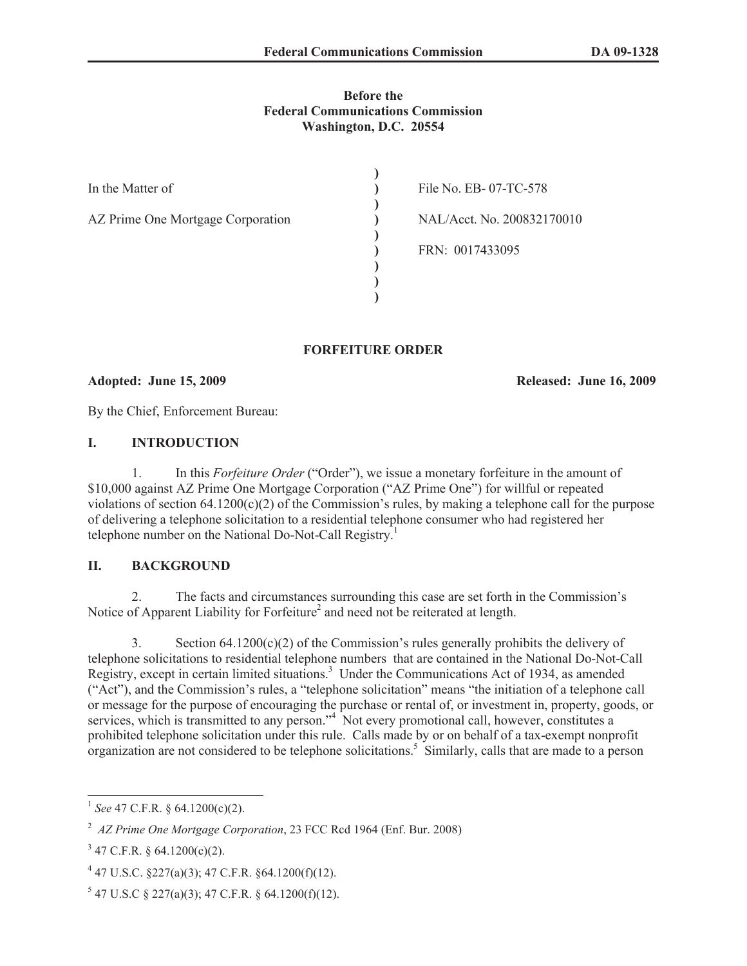## **Before the Federal Communications Commission Washington, D.C. 20554**

| In the Matter of                  | File No. EB-07-TC-578      |
|-----------------------------------|----------------------------|
| AZ Prime One Mortgage Corporation | NAL/Acct. No. 200832170010 |
|                                   | FRN: 0017433095            |
|                                   |                            |
|                                   |                            |

## **FORFEITURE ORDER**

**Adopted: June 15, 2009 Released: June 16, 2009**

By the Chief, Enforcement Bureau:

## **I. INTRODUCTION**

1. In this *Forfeiture Order* ("Order"), we issue a monetary forfeiture in the amount of \$10,000 against AZ Prime One Mortgage Corporation ("AZ Prime One") for willful or repeated violations of section 64.1200(c)(2) of the Commission's rules, by making a telephone call for the purpose of delivering a telephone solicitation to a residential telephone consumer who had registered her telephone number on the National Do-Not-Call Registry.<sup>1</sup>

# **II. BACKGROUND**

2. The facts and circumstances surrounding this case are set forth in the Commission's Notice of Apparent Liability for Forfeiture<sup>2</sup> and need not be reiterated at length.

3. Section  $64.1200(c)(2)$  of the Commission's rules generally prohibits the delivery of telephone solicitations to residential telephone numbers that are contained in the National Do-Not-Call Registry, except in certain limited situations.<sup>3</sup> Under the Communications Act of 1934, as amended ("Act"), and the Commission's rules, a "telephone solicitation" means "the initiation of a telephone call or message for the purpose of encouraging the purchase or rental of, or investment in, property, goods, or services, which is transmitted to any person."<sup>4</sup> Not every promotional call, however, constitutes a prohibited telephone solicitation under this rule. Calls made by or on behalf of a tax-exempt nonprofit organization are not considered to be telephone solicitations.<sup>5</sup> Similarly, calls that are made to a person

<sup>1</sup> *See* 47 C.F.R. § 64.1200(c)(2).

<sup>2</sup> *AZ Prime One Mortgage Corporation*, 23 FCC Rcd 1964 (Enf. Bur. 2008)

 $3$  47 C.F.R. § 64.1200(c)(2).

 $447$  U.S.C.  $\S$ 227(a)(3); 47 C.F.R.  $\S$ 64.1200(f)(12).

 $5$  47 U.S.C § 227(a)(3); 47 C.F.R. § 64.1200(f)(12).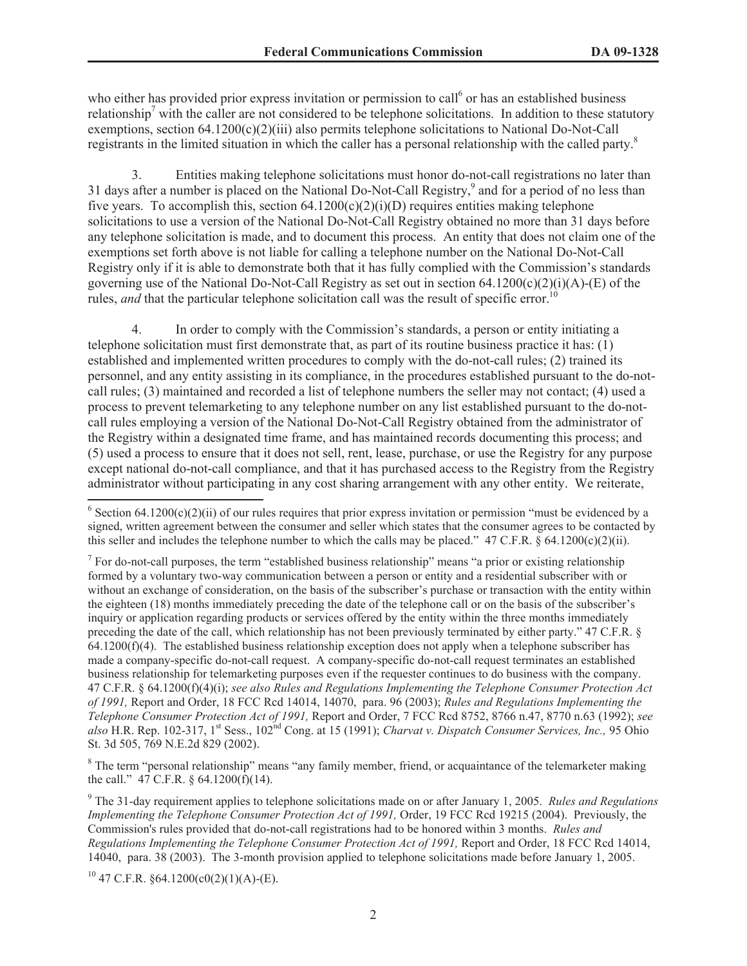who either has provided prior express invitation or permission to call<sup>6</sup> or has an established business relationship<sup>7</sup> with the caller are not considered to be telephone solicitations. In addition to these statutory exemptions, section 64.1200(c)(2)(iii) also permits telephone solicitations to National Do-Not-Call registrants in the limited situation in which the caller has a personal relationship with the called party.<sup>8</sup>

3. Entities making telephone solicitations must honor do-not-call registrations no later than 31 days after a number is placed on the National Do-Not-Call Registry,<sup>9</sup> and for a period of no less than five years. To accomplish this, section  $64.1200(c)(2)(i)(D)$  requires entities making telephone solicitations to use a version of the National Do-Not-Call Registry obtained no more than 31 days before any telephone solicitation is made, and to document this process. An entity that does not claim one of the exemptions set forth above is not liable for calling a telephone number on the National Do-Not-Call Registry only if it is able to demonstrate both that it has fully complied with the Commission's standards governing use of the National Do-Not-Call Registry as set out in section  $64.1200(c)(2)(i)(A)$ -(E) of the rules, *and* that the particular telephone solicitation call was the result of specific error.<sup>10</sup>

4. In order to comply with the Commission's standards, a person or entity initiating a telephone solicitation must first demonstrate that, as part of its routine business practice it has: (1) established and implemented written procedures to comply with the do-not-call rules; (2) trained its personnel, and any entity assisting in its compliance, in the procedures established pursuant to the do-notcall rules; (3) maintained and recorded a list of telephone numbers the seller may not contact; (4) used a process to prevent telemarketing to any telephone number on any list established pursuant to the do-notcall rules employing a version of the National Do-Not-Call Registry obtained from the administrator of the Registry within a designated time frame, and has maintained records documenting this process; and (5) used a process to ensure that it does not sell, rent, lease, purchase, or use the Registry for any purpose except national do-not-call compliance, and that it has purchased access to the Registry from the Registry administrator without participating in any cost sharing arrangement with any other entity. We reiterate,

<sup>8</sup> The term "personal relationship" means "any family member, friend, or acquaintance of the telemarketer making the call."  $47$  C.F.R. § 64.1200(f)(14).

 $^{10}$  47 C.F.R. §64.1200(c0(2)(1)(A)-(E).

<sup>&</sup>lt;sup>6</sup> Section 64.1200(c)(2)(ii) of our rules requires that prior express invitation or permission "must be evidenced by a signed, written agreement between the consumer and seller which states that the consumer agrees to be contacted by this seller and includes the telephone number to which the calls may be placed."  $47 \text{ C.F.R.}$   $\& 64.1200(c)(2)(ii)$ .

<sup>&</sup>lt;sup>7</sup> For do-not-call purposes, the term "established business relationship" means "a prior or existing relationship formed by a voluntary two-way communication between a person or entity and a residential subscriber with or without an exchange of consideration, on the basis of the subscriber's purchase or transaction with the entity within the eighteen (18) months immediately preceding the date of the telephone call or on the basis of the subscriber's inquiry or application regarding products or services offered by the entity within the three months immediately preceding the date of the call, which relationship has not been previously terminated by either party." 47 C.F.R. §  $64.1200(f)(4)$ . The established business relationship exception does not apply when a telephone subscriber has made a company-specific do-not-call request. A company-specific do-not-call request terminates an established business relationship for telemarketing purposes even if the requester continues to do business with the company. 47 C.F.R. § 64.1200(f)(4)(i); *see also Rules and Regulations Implementing the Telephone Consumer Protection Act of 1991,* Report and Order, 18 FCC Rcd 14014, 14070, para. 96 (2003); *Rules and Regulations Implementing the Telephone Consumer Protection Act of 1991,* Report and Order, 7 FCC Rcd 8752, 8766 n.47, 8770 n.63 (1992); *see also* H.R. Rep. 102-317, 1st Sess., 102nd Cong. at 15 (1991); *Charvat v. Dispatch Consumer Services, Inc.,* 95 Ohio St. 3d 505, 769 N.E.2d 829 (2002).

<sup>9</sup> The 31-day requirement applies to telephone solicitations made on or after January 1, 2005. *Rules and Regulations Implementing the Telephone Consumer Protection Act of 1991,* Order, 19 FCC Rcd 19215 (2004). Previously, the Commission's rules provided that do-not-call registrations had to be honored within 3 months. *Rules and Regulations Implementing the Telephone Consumer Protection Act of 1991,* Report and Order, 18 FCC Rcd 14014, 14040, para. 38 (2003). The 3-month provision applied to telephone solicitations made before January 1, 2005.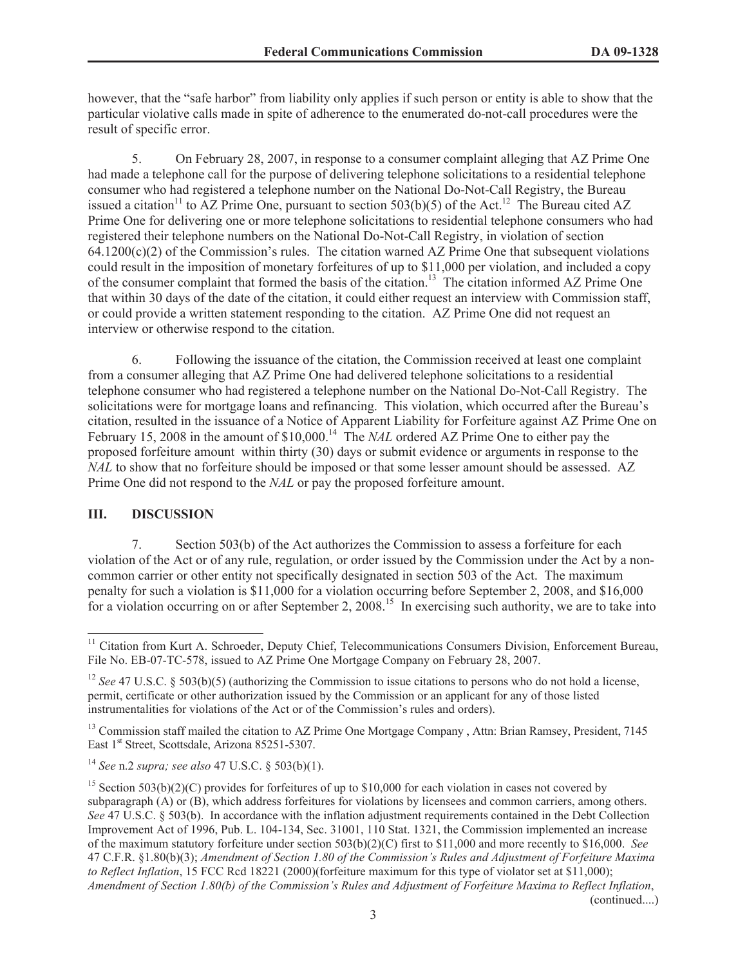however, that the "safe harbor" from liability only applies if such person or entity is able to show that the particular violative calls made in spite of adherence to the enumerated do-not-call procedures were the result of specific error.

5. On February 28, 2007, in response to a consumer complaint alleging that AZ Prime One had made a telephone call for the purpose of delivering telephone solicitations to a residential telephone consumer who had registered a telephone number on the National Do-Not-Call Registry, the Bureau issued a citation<sup>11</sup> to AZ Prime One, pursuant to section 503(b)(5) of the Act.<sup>12</sup> The Bureau cited AZ Prime One for delivering one or more telephone solicitations to residential telephone consumers who had registered their telephone numbers on the National Do-Not-Call Registry, in violation of section  $64.1200(c)(2)$  of the Commission's rules. The citation warned AZ Prime One that subsequent violations could result in the imposition of monetary forfeitures of up to \$11,000 per violation, and included a copy of the consumer complaint that formed the basis of the citation.<sup>13</sup> The citation informed AZ Prime One that within 30 days of the date of the citation, it could either request an interview with Commission staff, or could provide a written statement responding to the citation. AZ Prime One did not request an interview or otherwise respond to the citation.

6. Following the issuance of the citation, the Commission received at least one complaint from a consumer alleging that AZ Prime One had delivered telephone solicitations to a residential telephone consumer who had registered a telephone number on the National Do-Not-Call Registry. The solicitations were for mortgage loans and refinancing. This violation, which occurred after the Bureau's citation, resulted in the issuance of a Notice of Apparent Liability for Forfeiture against AZ Prime One on February 15, 2008 in the amount of \$10,000.<sup>14</sup> The *NAL* ordered AZ Prime One to either pay the proposed forfeiture amount within thirty (30) days or submit evidence or arguments in response to the *NAL* to show that no forfeiture should be imposed or that some lesser amount should be assessed. AZ Prime One did not respond to the *NAL* or pay the proposed forfeiture amount.

## **III. DISCUSSION**

7. Section 503(b) of the Act authorizes the Commission to assess a forfeiture for each violation of the Act or of any rule, regulation, or order issued by the Commission under the Act by a noncommon carrier or other entity not specifically designated in section 503 of the Act. The maximum penalty for such a violation is \$11,000 for a violation occurring before September 2, 2008, and \$16,000 for a violation occurring on or after September 2, 2008.<sup>15</sup> In exercising such authority, we are to take into

<sup>&</sup>lt;sup>11</sup> Citation from Kurt A. Schroeder, Deputy Chief, Telecommunications Consumers Division, Enforcement Bureau, File No. EB-07-TC-578, issued to AZ Prime One Mortgage Company on February 28, 2007.

<sup>&</sup>lt;sup>12</sup> *See* 47 U.S.C. § 503(b)(5) (authorizing the Commission to issue citations to persons who do not hold a license, permit, certificate or other authorization issued by the Commission or an applicant for any of those listed instrumentalities for violations of the Act or of the Commission's rules and orders).

<sup>&</sup>lt;sup>13</sup> Commission staff mailed the citation to AZ Prime One Mortgage Company, Attn: Brian Ramsey, President, 7145 East 1<sup>st</sup> Street, Scottsdale, Arizona 85251-5307.

<sup>14</sup> *See* n.2 *supra; see also* 47 U.S.C. § 503(b)(1).

<sup>&</sup>lt;sup>15</sup> Section 503(b)(2)(C) provides for forfeitures of up to \$10,000 for each violation in cases not covered by subparagraph (A) or (B), which address forfeitures for violations by licensees and common carriers, among others. *See* 47 U.S.C. § 503(b). In accordance with the inflation adjustment requirements contained in the Debt Collection Improvement Act of 1996, Pub. L. 104-134, Sec. 31001, 110 Stat. 1321, the Commission implemented an increase of the maximum statutory forfeiture under section 503(b)(2)(C) first to \$11,000 and more recently to \$16,000. *See* 47 C.F.R. §1.80(b)(3); *Amendment of Section 1.80 of the Commission's Rules and Adjustment of Forfeiture Maxima to Reflect Inflation*, 15 FCC Rcd 18221 (2000)(forfeiture maximum for this type of violator set at \$11,000); *Amendment of Section 1.80(b) of the Commission's Rules and Adjustment of Forfeiture Maxima to Reflect Inflation*, (continued....)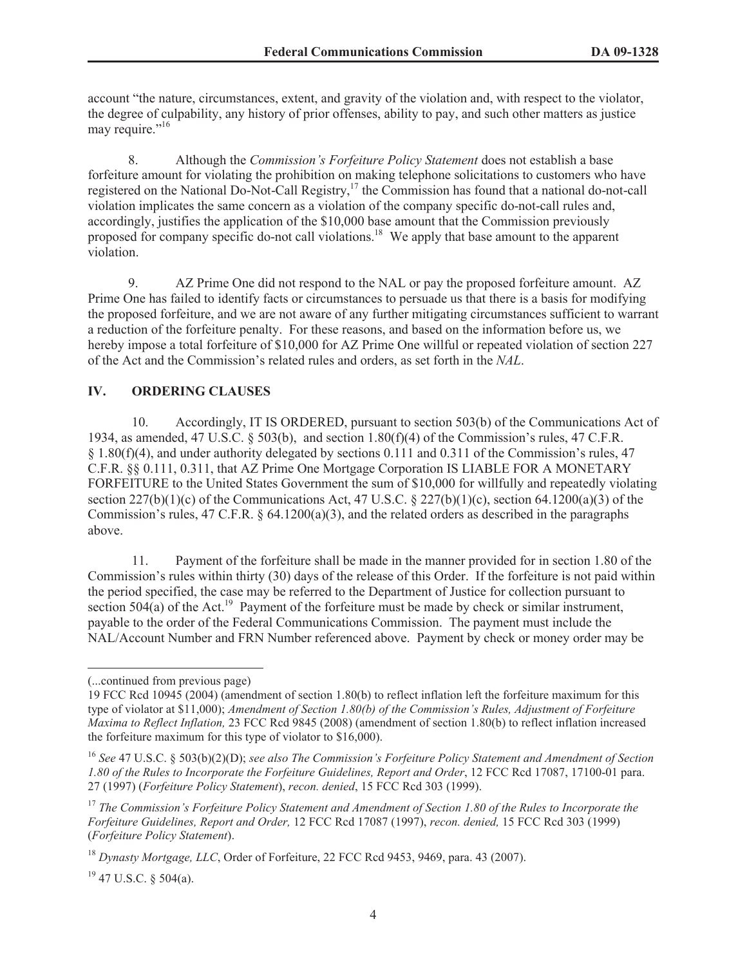account "the nature, circumstances, extent, and gravity of the violation and, with respect to the violator, the degree of culpability, any history of prior offenses, ability to pay, and such other matters as justice may require."<sup>16</sup>

8. Although the *Commission's Forfeiture Policy Statement* does not establish a base forfeiture amount for violating the prohibition on making telephone solicitations to customers who have registered on the National Do-Not-Call Registry,<sup>17</sup> the Commission has found that a national do-not-call violation implicates the same concern as a violation of the company specific do-not-call rules and, accordingly, justifies the application of the \$10,000 base amount that the Commission previously proposed for company specific do-not call violations.<sup>18</sup> We apply that base amount to the apparent violation.

9. AZ Prime One did not respond to the NAL or pay the proposed forfeiture amount. AZ Prime One has failed to identify facts or circumstances to persuade us that there is a basis for modifying the proposed forfeiture, and we are not aware of any further mitigating circumstances sufficient to warrant a reduction of the forfeiture penalty. For these reasons, and based on the information before us, we hereby impose a total forfeiture of \$10,000 for AZ Prime One willful or repeated violation of section 227 of the Act and the Commission's related rules and orders, as set forth in the *NAL*.

# **IV. ORDERING CLAUSES**

10. Accordingly, IT IS ORDERED, pursuant to section 503(b) of the Communications Act of 1934, as amended, 47 U.S.C.  $\S$  503(b), and section 1.80(f)(4) of the Commission's rules, 47 C.F.R. § 1.80(f)(4), and under authority delegated by sections 0.111 and 0.311 of the Commission's rules, 47 C.F.R. §§ 0.111, 0.311, that AZ Prime One Mortgage Corporation IS LIABLE FOR A MONETARY FORFEITURE to the United States Government the sum of \$10,000 for willfully and repeatedly violating section  $227(b)(1)(c)$  of the Communications Act, 47 U.S.C. § 227(b)(1)(c), section 64.1200(a)(3) of the Commission's rules,  $47 \text{ C.F.R. }$   $\frac{64.1200(a)(3)}{a}$ , and the related orders as described in the paragraphs above.

11. Payment of the forfeiture shall be made in the manner provided for in section 1.80 of the Commission's rules within thirty (30) days of the release of this Order. If the forfeiture is not paid within the period specified, the case may be referred to the Department of Justice for collection pursuant to section  $504(a)$  of the Act.<sup>19</sup> Payment of the forfeiture must be made by check or similar instrument, payable to the order of the Federal Communications Commission. The payment must include the NAL/Account Number and FRN Number referenced above. Payment by check or money order may be

 $19$  47 U.S.C. § 504(a).

<sup>(...</sup>continued from previous page)

<sup>19</sup> FCC Rcd 10945 (2004) (amendment of section 1.80(b) to reflect inflation left the forfeiture maximum for this type of violator at \$11,000); *Amendment of Section 1.80(b) of the Commission's Rules, Adjustment of Forfeiture Maxima to Reflect Inflation,* 23 FCC Rcd 9845 (2008) (amendment of section 1.80(b) to reflect inflation increased the forfeiture maximum for this type of violator to \$16,000).

<sup>16</sup> *See* 47 U.S.C. § 503(b)(2)(D); *see also The Commission's Forfeiture Policy Statement and Amendment of Section 1.80 of the Rules to Incorporate the Forfeiture Guidelines, Report and Order*, 12 FCC Rcd 17087, 17100-01 para. 27 (1997) (*Forfeiture Policy Statement*), *recon. denied*, 15 FCC Rcd 303 (1999).

<sup>17</sup> *The Commission's Forfeiture Policy Statement and Amendment of Section 1.80 of the Rules to Incorporate the Forfeiture Guidelines, Report and Order,* 12 FCC Rcd 17087 (1997), *recon. denied,* 15 FCC Rcd 303 (1999) (*Forfeiture Policy Statement*).

<sup>18</sup> *Dynasty Mortgage, LLC*, Order of Forfeiture, 22 FCC Rcd 9453, 9469, para. 43 (2007).